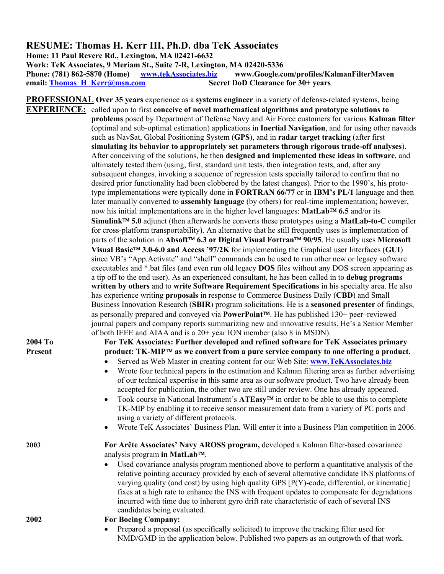## **RESUME: Thomas H. Kerr III, Ph.D. dba TeK Associates**

**Home: 11 Paul Revere Rd., Lexington, MA 02421-6632 Work: TeK Associates, 9 Meriam St., Suite 7-R, Lexington, MA 02420-5336 Phone: (781) 862-5870 (Home) [www.tekAssociates.biz](http://www.tekassociates.biz/) www.Google.com/profiles/KalmanFilterMaven email: [Thomas\\_H\\_Kerr@msn.com](mailto:Thomas_H_Kerr@msn.com) Secret DoD Clearance for 30+ years** 

**PROFESSIONAL Over 35 years** experience as a **systems engineer** in a variety of defense-related systems, being **EXPERIENCE:** called upon to first **conceive of novel mathematical algorithms and prototype solutions to problems** posed by Department of Defense Navy and Air Force customers for various **Kalman filter** (optimal and sub-optimal estimation) applications in **Inertial Navigation**, and for using other navaids such as NavSat, Global Positioning System (**GPS**), and in **radar target tracking** (after first **simulating its behavior to appropriately set parameters through rigorous trade-off analyses**). After conceiving of the solutions, he then **designed and implemented these ideas in software**, and ultimately tested them (using, first, standard unit tests, then integration tests, and, after any subsequent changes, invoking a sequence of regression tests specially tailored to confirm that no desired prior functionality had been clobbered by the latest changes). Prior to the 1990's, his prototype implementations were typically done in **FORTRAN 66/77** or in **IBM's PL/1** language and then later manually converted to **assembly language** (by others) for real-time implementation; however, now his initial implementations are in the higher level languages: **MatLab 6.5** and/or its **Simulink 5.0** adjunct (then afterwards he converts these prototypes using a **MatLab-to-C** compiler for cross-platform transportability). An alternative that he still frequently uses is implementation of parts of the solution in Absoft<sup>™</sup> 6.3 or Digital Visual Fortran<sup>™</sup> 90/95. He usually uses Microsoft **Visual Basic 3.0-6.0 and Access '97/2K** for implementing the Graphical user Interfaces (**GUI**) since VB's "App.Activate" and "shell" commands can be used to run other new or legacy software executables and \*.bat files (and even run old legacy **DOS** files without any DOS screen appearing as a tip off to the end user). As an experienced consultant, he has been called in to **debug programs written by others** and to **write Software Requirement Specifications** in his specialty area. He also has experience writing **proposals** in response to Commerce Business Daily (**CBD**) and Small Business Innovation Research (**SBIR**) program solicitations. He is a **seasoned presenter** of findings, as personally prepared and conveyed via **PowerPoint**. He has published 130+ peer–reviewed journal papers and company reports summarizing new and innovative results. He's a Senior Member of both IEEE and AIAA and is a 20+ year ION member (also 8 in MSDN).

**2004 To For TeK Associates: Further developed and refined software for TeK Associates primary**  Present **product: TK-MIP<sup>™</sup> as we convert from a pure service company to one offering a product.** 

- Served as Web Master in creating content for our Web Site: **[www.TeKAssociates.biz](http://www.tekassociates.biz/)**
- Wrote four technical papers in the estimation and Kalman filtering area as further advertising of our technical expertise in this same area as our software product. Two have already been accepted for publication, the other two are still under review. One has already appeared.
- Took course in National Instrument's **ATEasy<sup>TM</sup>** in order to be able to use this to complete TK-MIP by enabling it to receive sensor measurement data from a variety of PC ports and using a variety of different protocols.
- Wrote TeK Associates' Business Plan. Will enter it into a Business Plan competition in 2006.

**2003 For Arête Associates' Navy AROSS program,** developed a Kalman filter-based covariance analysis program in MatLab<sup>™</sup>.

> • Used covariance analysis program mentioned above to perform a quantitative analysis of the relative pointing accuracy provided by each of several alternative candidate INS platforms of varying quality (and cost) by using high quality GPS [P(Y)-code, differential, or kinematic] fixes at a high rate to enhance the INS with frequent updates to compensate for degradations incurred with time due to inherent gyro drift rate characteristic of each of several INS candidates being evaluated.

```
2002 For Boeing Company:
```
• Prepared a proposal (as specifically solicited) to improve the tracking filter used for NMD/GMD in the application below. Published two papers as an outgrowth of that work.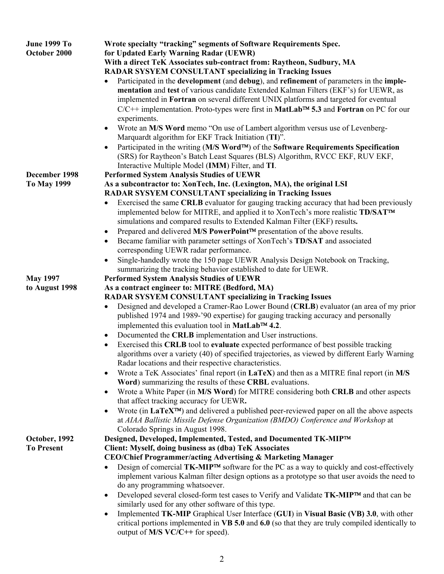| <b>June 1999 To</b><br>October 2000 | Wrote specialty "tracking" segments of Software Requirements Spec.<br>for Updated Early Warning Radar (UEWR)<br>With a direct TeK Associates sub-contract from: Raytheon, Sudbury, MA<br><b>RADAR SYSYEM CONSULTANT specializing in Tracking Issues</b><br>Participated in the <b>development</b> (and <b>debug</b> ), and <b>refinement</b> of parameters in the <b>imple-</b><br>mentation and test of various candidate Extended Kalman Filters (EKF's) for UEWR, as<br>implemented in Fortran on several different UNIX platforms and targeted for eventual<br>$C/C++$ implementation. Proto-types were first in MatLab <sup>TM</sup> 5.3 and Fortran on PC for our<br>experiments.<br>Wrote an M/S Word memo "On use of Lambert algorithm versus use of Levenberg-                                                                                                                                                                                                                                                                                                                                                                                                                                                                                             |
|-------------------------------------|---------------------------------------------------------------------------------------------------------------------------------------------------------------------------------------------------------------------------------------------------------------------------------------------------------------------------------------------------------------------------------------------------------------------------------------------------------------------------------------------------------------------------------------------------------------------------------------------------------------------------------------------------------------------------------------------------------------------------------------------------------------------------------------------------------------------------------------------------------------------------------------------------------------------------------------------------------------------------------------------------------------------------------------------------------------------------------------------------------------------------------------------------------------------------------------------------------------------------------------------------------------------|
|                                     | Marquardt algorithm for EKF Track Initiation (TI)".<br>Participated in the writing (M/S Word™) of the Software Requirements Specification<br>(SRS) for Raytheon's Batch Least Squares (BLS) Algorithm, RVCC EKF, RUV EKF,<br>Interactive Multiple Model (IMM) Filter, and TI.                                                                                                                                                                                                                                                                                                                                                                                                                                                                                                                                                                                                                                                                                                                                                                                                                                                                                                                                                                                       |
| December 1998<br><b>To May 1999</b> | <b>Performed System Analysis Studies of UEWR</b><br>As a subcontractor to: XonTech, Inc. (Lexington, MA), the original LSI<br><b>RADAR SYSYEM CONSULTANT specializing in Tracking Issues</b><br>Exercised the same CRLB evaluator for gauging tracking accuracy that had been previously<br>implemented below for MITRE, and applied it to XonTech's more realistic TD/SAT™<br>simulations and compared results to Extended Kalman Filter (EKF) results.<br>Prepared and delivered M/S PowerPoint™ presentation of the above results.<br>Became familiar with parameter settings of XonTech's TD/SAT and associated<br>$\bullet$<br>corresponding UEWR radar performance.<br>Single-handedly wrote the 150 page UEWR Analysis Design Notebook on Tracking,<br>$\bullet$<br>summarizing the tracking behavior established to date for UEWR.                                                                                                                                                                                                                                                                                                                                                                                                                          |
| <b>May 1997</b><br>to August 1998   | <b>Performed System Analysis Studies of UEWR</b><br>As a contract engineer to: MITRE (Bedford, MA)<br><b>RADAR SYSYEM CONSULTANT specializing in Tracking Issues</b><br>Designed and developed a Cramer-Rao Lower Bound (CRLB) evaluator (an area of my prior<br>$\bullet$<br>published 1974 and 1989-'90 expertise) for gauging tracking accuracy and personally<br>implemented this evaluation tool in MatLab™ 4.2.<br>Documented the CRLB implementation and User instructions.<br>$\bullet$<br>Exercised this CRLB tool to evaluate expected performance of best possible tracking<br>$\bullet$<br>algorithms over a variety (40) of specified trajectories, as viewed by different Early Warning<br>Radar locations and their respective characteristics.<br>Wrote a TeK Associates' final report (in LaTeX) and then as a MITRE final report (in M/S<br>$\bullet$<br>Word) summarizing the results of these CRBL evaluations.<br>Wrote a White Paper (in M/S Word) for MITRE considering both CRLB and other aspects<br>that affect tracking accuracy for UEWR.<br>Wrote (in LaTeX <sup>TM</sup> ) and delivered a published peer-reviewed paper on all the above aspects<br>at AIAA Ballistic Missile Defense Organization (BMDO) Conference and Workshop at |
| October, 1992<br><b>To Present</b>  | Colorado Springs in August 1998.<br>Designed, Developed, Implemented, Tested, and Documented TK-MIP™<br>Client: Myself, doing business as (dba) TeK Associates<br>CEO/Chief Programmer/acting Advertising & Marketing Manager<br>Design of comercial TK-MIP™ software for the PC as a way to quickly and cost-effectively<br>implement various Kalman filter design options as a prototype so that user avoids the need to<br>do any programming whatsoever.<br>Developed several closed-form test cases to Verify and Validate TK-MIP™ and that can be<br>$\bullet$<br>similarly used for any other software of this type.<br>Implemented TK-MIP Graphical User Interface (GUI) in Visual Basic (VB) 3.0, with other<br>critical portions implemented in $VB$ 5.0 and 6.0 (so that they are truly compiled identically to<br>output of M/S VC/C++ for speed).                                                                                                                                                                                                                                                                                                                                                                                                      |